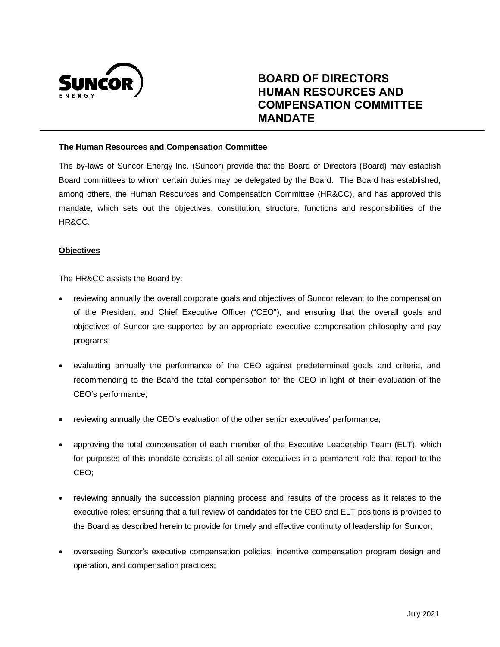

# **BOARD OF DIRECTORS HUMAN RESOURCES AND COMPENSATION COMMITTEE MANDATE**

## **The Human Resources and Compensation Committee**

The by-laws of Suncor Energy Inc. (Suncor) provide that the Board of Directors (Board) may establish Board committees to whom certain duties may be delegated by the Board. The Board has established, among others, the Human Resources and Compensation Committee (HR&CC), and has approved this mandate, which sets out the objectives, constitution, structure, functions and responsibilities of the HR&CC.

### **Objectives**

The HR&CC assists the Board by:

- reviewing annually the overall corporate goals and objectives of Suncor relevant to the compensation of the President and Chief Executive Officer ("CEO"), and ensuring that the overall goals and objectives of Suncor are supported by an appropriate executive compensation philosophy and pay programs;
- evaluating annually the performance of the CEO against predetermined goals and criteria, and recommending to the Board the total compensation for the CEO in light of their evaluation of the CEO's performance;
- reviewing annually the CEO's evaluation of the other senior executives' performance;
- approving the total compensation of each member of the Executive Leadership Team (ELT), which for purposes of this mandate consists of all senior executives in a permanent role that report to the CEO;
- reviewing annually the succession planning process and results of the process as it relates to the executive roles; ensuring that a full review of candidates for the CEO and ELT positions is provided to the Board as described herein to provide for timely and effective continuity of leadership for Suncor;
- overseeing Suncor's executive compensation policies, incentive compensation program design and operation, and compensation practices;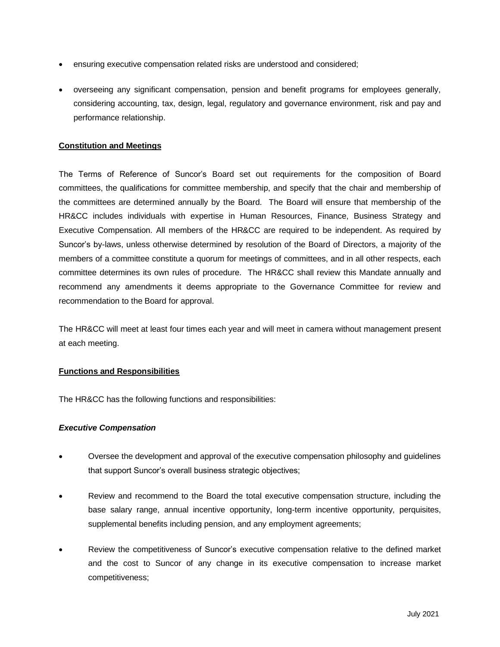- ensuring executive compensation related risks are understood and considered;
- overseeing any significant compensation, pension and benefit programs for employees generally, considering accounting, tax, design, legal, regulatory and governance environment, risk and pay and performance relationship.

## **Constitution and Meetings**

The Terms of Reference of Suncor's Board set out requirements for the composition of Board committees, the qualifications for committee membership, and specify that the chair and membership of the committees are determined annually by the Board. The Board will ensure that membership of the HR&CC includes individuals with expertise in Human Resources, Finance, Business Strategy and Executive Compensation. All members of the HR&CC are required to be independent. As required by Suncor's by-laws, unless otherwise determined by resolution of the Board of Directors, a majority of the members of a committee constitute a quorum for meetings of committees, and in all other respects, each committee determines its own rules of procedure. The HR&CC shall review this Mandate annually and recommend any amendments it deems appropriate to the Governance Committee for review and recommendation to the Board for approval.

The HR&CC will meet at least four times each year and will meet in camera without management present at each meeting.

### **Functions and Responsibilities**

The HR&CC has the following functions and responsibilities:

### *Executive Compensation*

- Oversee the development and approval of the executive compensation philosophy and guidelines that support Suncor's overall business strategic objectives;
- Review and recommend to the Board the total executive compensation structure, including the base salary range, annual incentive opportunity, long-term incentive opportunity, perquisites, supplemental benefits including pension, and any employment agreements;
- Review the competitiveness of Suncor's executive compensation relative to the defined market and the cost to Suncor of any change in its executive compensation to increase market competitiveness;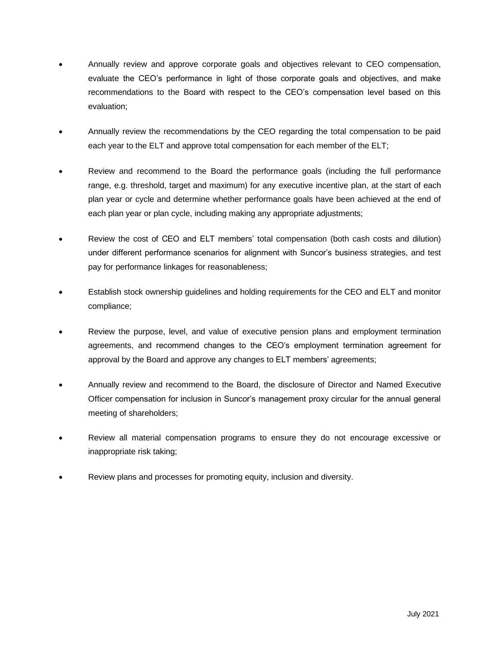- Annually review and approve corporate goals and objectives relevant to CEO compensation, evaluate the CEO's performance in light of those corporate goals and objectives, and make recommendations to the Board with respect to the CEO's compensation level based on this evaluation;
- Annually review the recommendations by the CEO regarding the total compensation to be paid each year to the ELT and approve total compensation for each member of the ELT;
- Review and recommend to the Board the performance goals (including the full performance range, e.g. threshold, target and maximum) for any executive incentive plan, at the start of each plan year or cycle and determine whether performance goals have been achieved at the end of each plan year or plan cycle, including making any appropriate adjustments;
- Review the cost of CEO and ELT members' total compensation (both cash costs and dilution) under different performance scenarios for alignment with Suncor's business strategies, and test pay for performance linkages for reasonableness;
- Establish stock ownership guidelines and holding requirements for the CEO and ELT and monitor compliance;
- Review the purpose, level, and value of executive pension plans and employment termination agreements, and recommend changes to the CEO's employment termination agreement for approval by the Board and approve any changes to ELT members' agreements;
- Annually review and recommend to the Board, the disclosure of Director and Named Executive Officer compensation for inclusion in Suncor's management proxy circular for the annual general meeting of shareholders;
- Review all material compensation programs to ensure they do not encourage excessive or inappropriate risk taking;
- Review plans and processes for promoting equity, inclusion and diversity.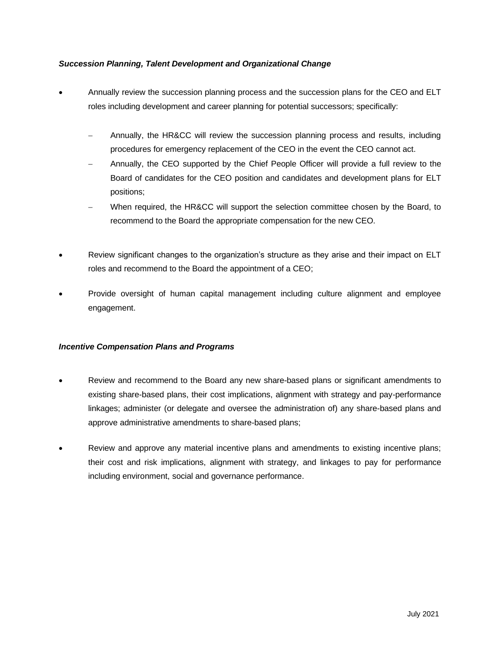# *Succession Planning, Talent Development and Organizational Change*

- Annually review the succession planning process and the succession plans for the CEO and ELT roles including development and career planning for potential successors; specifically:
	- − Annually, the HR&CC will review the succession planning process and results, including procedures for emergency replacement of the CEO in the event the CEO cannot act.
	- − Annually, the CEO supported by the Chief People Officer will provide a full review to the Board of candidates for the CEO position and candidates and development plans for ELT positions;
	- When required, the HR&CC will support the selection committee chosen by the Board, to recommend to the Board the appropriate compensation for the new CEO.
- Review significant changes to the organization's structure as they arise and their impact on ELT roles and recommend to the Board the appointment of a CEO;
- Provide oversight of human capital management including culture alignment and employee engagement.

# *Incentive Compensation Plans and Programs*

- Review and recommend to the Board any new share-based plans or significant amendments to existing share-based plans, their cost implications, alignment with strategy and pay-performance linkages; administer (or delegate and oversee the administration of) any share-based plans and approve administrative amendments to share-based plans;
- Review and approve any material incentive plans and amendments to existing incentive plans; their cost and risk implications, alignment with strategy, and linkages to pay for performance including environment, social and governance performance.